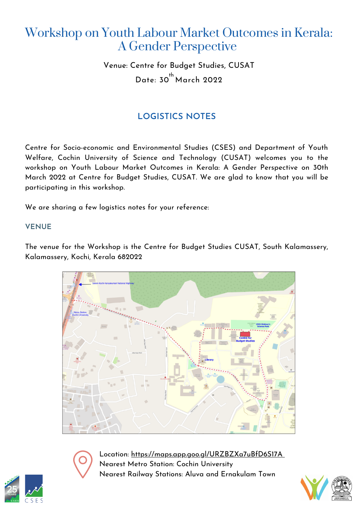# Workshop on Youth Labour Market Outcomes in Kerala: A Gender Perspective

Venue: Centre for Budget Studies, CUSAT Date: 30<sup>th</sup> March 2022

# **LOGISTICS NOTES**

Centre for Socio-economic and Environmental Studies (CSES) and Department of Youth Welfare, Cochin University of Science and Technology (CUSAT) welcomes you to the workshop on Youth Labour Market Outcomes in Kerala: A Gender Perspective on 30th March 2022 at Centre for Budget Studies, CUSAT. We are glad to know that you will be participating in this workshop.

We are sharing a few logistics notes for your reference:

## **VENUE**

The venue for the Workshop is the Centre for Budget Studies CUSAT, South Kalamassery, Kalamassery, Kochi, Kerala 682022





Location: <https://maps.app.goo.gl/URZBZXa7uBfD6S17A> Nearest Metro Station: Cochin University Nearest Railway Stations: Aluva and Ernakulam Town